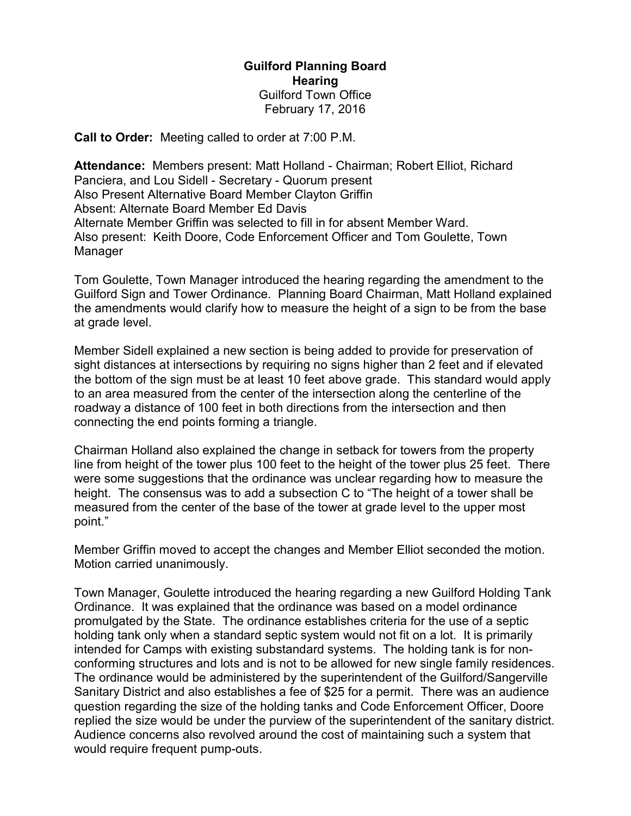## Guilford Planning Board **Hearing** Guilford Town Office February 17, 2016

Call to Order: Meeting called to order at 7:00 P.M.

Attendance: Members present: Matt Holland - Chairman; Robert Elliot, Richard Panciera, and Lou Sidell - Secretary - Quorum present Also Present Alternative Board Member Clayton Griffin Absent: Alternate Board Member Ed Davis Alternate Member Griffin was selected to fill in for absent Member Ward. Also present: Keith Doore, Code Enforcement Officer and Tom Goulette, Town Manager

Tom Goulette, Town Manager introduced the hearing regarding the amendment to the Guilford Sign and Tower Ordinance. Planning Board Chairman, Matt Holland explained the amendments would clarify how to measure the height of a sign to be from the base at grade level.

Member Sidell explained a new section is being added to provide for preservation of sight distances at intersections by requiring no signs higher than 2 feet and if elevated the bottom of the sign must be at least 10 feet above grade. This standard would apply to an area measured from the center of the intersection along the centerline of the roadway a distance of 100 feet in both directions from the intersection and then connecting the end points forming a triangle.

Chairman Holland also explained the change in setback for towers from the property line from height of the tower plus 100 feet to the height of the tower plus 25 feet. There were some suggestions that the ordinance was unclear regarding how to measure the height. The consensus was to add a subsection C to "The height of a tower shall be measured from the center of the base of the tower at grade level to the upper most point."

Member Griffin moved to accept the changes and Member Elliot seconded the motion. Motion carried unanimously.

Town Manager, Goulette introduced the hearing regarding a new Guilford Holding Tank Ordinance. It was explained that the ordinance was based on a model ordinance promulgated by the State. The ordinance establishes criteria for the use of a septic holding tank only when a standard septic system would not fit on a lot. It is primarily intended for Camps with existing substandard systems. The holding tank is for nonconforming structures and lots and is not to be allowed for new single family residences. The ordinance would be administered by the superintendent of the Guilford/Sangerville Sanitary District and also establishes a fee of \$25 for a permit. There was an audience question regarding the size of the holding tanks and Code Enforcement Officer, Doore replied the size would be under the purview of the superintendent of the sanitary district. Audience concerns also revolved around the cost of maintaining such a system that would require frequent pump-outs.